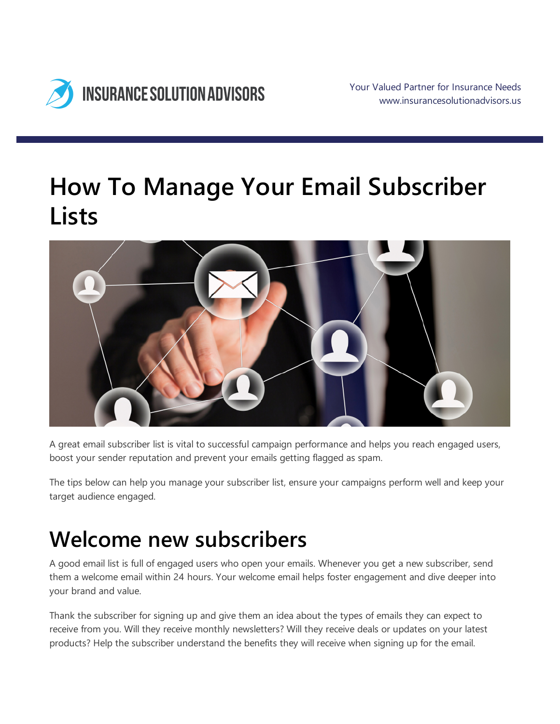

# **How To Manage Your Email Subscriber Lists**



A great email subscriber list is vital to successful campaign performance and helps you reach engaged users, boost your sender reputation and prevent your emails getting flagged as spam.

The tips below can help you manage your subscriber list, ensure your campaigns perform well and keep your target audience engaged.

## **Welcome new subscribers**

A good email list is full of engaged users who open your emails. Whenever you get a new subscriber, send them a welcome email within 24 hours. Your welcome email helps foster engagement and dive deeper into your brand and value.

Thank the subscriber for signing up and give them an idea about the types of emails they can expect to receive from you. Will they receive monthly newsletters? Will they receive deals or updates on your latest products? Help the subscriber understand the benefits they will receive when signing up for the email.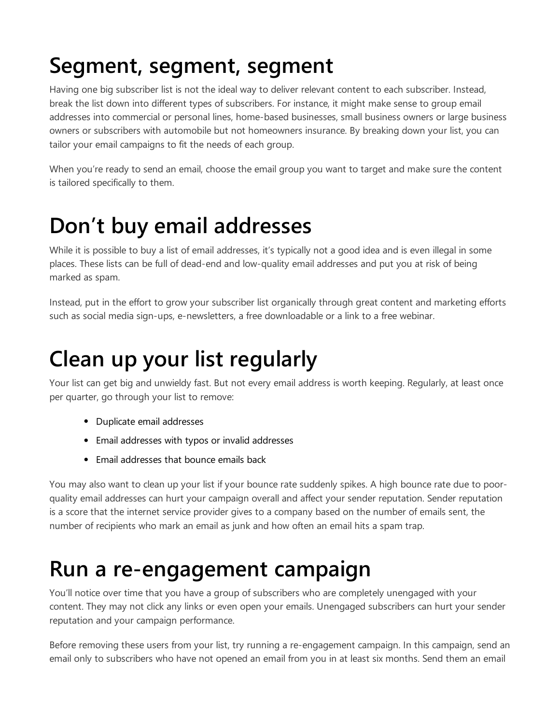# **Segment, segment, segment**

Having one big subscriber list is not the ideal way to deliver relevant content to each subscriber. Instead, break the list down into different types of subscribers. For instance, it might make sense to group email addresses into commercial or personal lines, home-based businesses, small business owners or large business owners or subscribers with automobile but not homeowners insurance. By breaking down your list, you can tailor your email campaigns to fit the needs of each group.

When you're ready to send an email, choose the email group you want to target and make sure the content is tailored specifically to them.

## **Don't buy email addresses**

While it is possible to buy a list of email addresses, it's typically not a good idea and is even illegal in some places. These lists can be full of dead-end and low-quality email addresses and put you at risk of being marked as spam.

Instead, put in the effort to grow your subscriber list organically through great content and marketing efforts such as social media sign-ups, e-newsletters, a free downloadable or a link to a free webinar.

# **Clean up your list regularly**

Your list can get big and unwieldy fast. But not every email address is worth keeping. Regularly, at least once per quarter, go through your list to remove:

- Duplicate email addresses
- Email addresses with typos or invalid addresses
- Email addresses that bounce emails back

You may also want to clean up your list if your bounce rate suddenly spikes. A high bounce rate due to poorquality email addresses can hurt your campaign overall and affect your sender reputation. Sender reputation is a score that the internet service provider gives to a company based on the number of emails sent, the number of recipients who mark an email as junk and how often an email hits a spam trap.

#### **Run a re-engagement campaign**

You'll notice over time that you have a group of subscribers who are completely unengaged with your content. They may not click any links or even open your emails. Unengaged subscribers can hurt your sender reputation and your campaign performance.

Before removing these users from your list, try running a re-engagement campaign. In this campaign, send an email only to subscribers who have not opened an email from you in at least six months. Send them an email